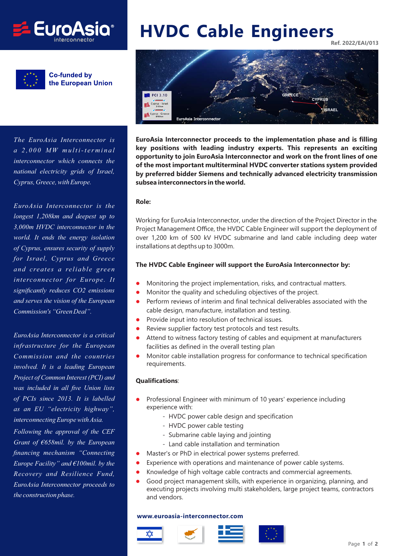



**Co-funded by** the European Union

*The EuroAsia Interconnector is a 2,000 MW multi-terminal interconnector which connects the national electricity grids of Israel, Cyprus, Greece, with Europe.*

*EuroAsia Interconnector is the longest 1,208km and deepest up to 3,000m HVDC interconnector in the world. It ends the energy isolation of Cyprus, ensures security of supply for Israel, Cyprus and Greece and creates a reliable green interconnector for Europe. It significantly reduces CO2 emissions and serves the vision of the European Commission's "Green Deal".*

*EuroAsia Interconnector is a critical infrastructure for the European Commission and the countries involved. It is a leading European Project of Common Interest (PCI) and was included in all five Union lists of PCIs since 2013. It is labelled as an EU "electricity highway", interconnecting Europe with Asia. Following the approval of the CEF Grant of €658mil. by the European financing mechanism "Connecting Europe Facility" and €100mil. by the Recovery and Resilience Fund, EuroAsia Interconnector proceeds to*

*the construction phase.*

# **HVDC Cable Engineers Ref. 2022/EAI/013**



**EuroAsia Interconnector proceeds to the implementation phase and is filling key positions with leading industry experts. This represents an exciting opportunity to join EuroAsia Interconnector and work on the front lines of one of the most important multiterminal HVDC converter stations system provided by preferred bidder Siemens and technically advanced electricity transmission subsea interconnectors in the world.**

#### **Role:**

Working for EuroAsia Interconnector, under the direction of the Project Director in the Project Management Office, the HVDC Cable Engineer will support the deployment of over 1,200 km of 500 kV HVDC submarine and land cable including deep water installations at depths up to 3000m.

# **The HVDC Cable Engineer will support the EuroAsia Interconnector by:**

- $\bullet$ Monitoring the project implementation, risks, and contractual matters.
- $\bullet$ Monitor the quality and scheduling objectives of the project.
- $\bullet$  Perform reviews of interim and final technical deliverables associated with the cable design, manufacture, installation and testing.
- $\bullet$ Provide input into resolution of technical issues.
- $\bullet$ Review supplier factory test protocols and test results.
- $\bullet$  Attend to witness factory testing of cables and equipment at manufacturers facilities as defined in the overall testing plan
- $\bullet$  Monitor cable installation progress for conformance to technical specification requirements.

#### **Qualifications**:

- $\bullet$  Professional Engineer with minimum of 10 years' experience including experience with:
	- HVDC power cable design and specification
	- HVDC power cable testing
	- Submarine cable laying and jointing
	- Land cable installation and termination
- $\bullet$ Master's or PhD in electrical power systems preferred.
- $\bullet$ Experience with operations and maintenance of power cable systems.
- $\bullet$ Knowledge of high voltage cable contracts and commercial agreements.
- $\bullet$  Good project management skills, with experience in organizing, planning, and executing projects involving multi stakeholders, large project teams, contractors and vendors.

## **www.euroasia-interconnector.com**